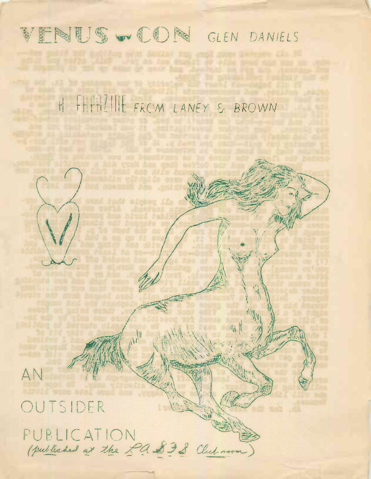## VENUS WOON GLEN DANIELS

million what or must han theely

H FAPTILINE FROM LANEY & BROWN